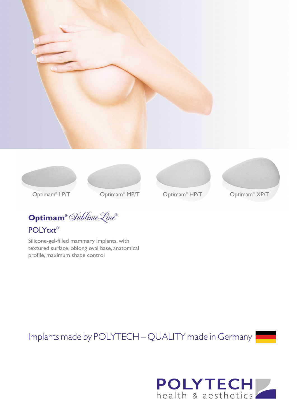





Optimam<sup>®</sup> LP/T

**Optimam®** SublimeLine**®** POLYtxt®

Silicone-gel-filled mammary implants, with textured surface, oblong oval base, anatomical profile, maximum shape control





Optimam<sup>®</sup> LP/T Optimam<sup>®</sup> MP/T Optimam<sup>®</sup> HP/T Optimam<sup>®</sup> XP/T Optimam<sup>®</sup> XP/T

Implants made by POLYTECH - QUALITY made in Germany